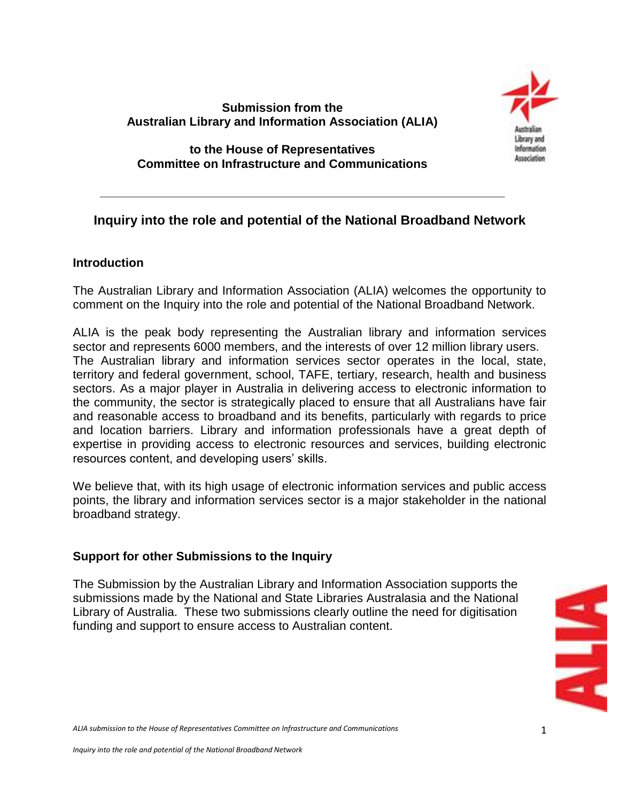# **Submission from the Australian Library and Information Association (ALIA)**



### **to the House of Representatives Committee on Infrastructure and Communications**

 **\_\_\_\_\_\_\_\_\_\_\_\_\_\_\_\_\_\_\_\_\_\_\_\_\_\_\_\_\_\_\_\_\_\_\_\_\_\_\_\_\_\_\_\_\_\_\_\_\_\_\_\_\_\_\_\_\_\_\_\_**

# **Inquiry into the role and potential of the National Broadband Network**

# **Introduction**

The Australian Library and Information Association (ALIA) welcomes the opportunity to comment on the Inquiry into the role and potential of the National Broadband Network.

ALIA is the peak body representing the Australian library and information services sector and represents 6000 members, and the interests of over 12 million library users. The Australian library and information services sector operates in the local, state, territory and federal government, school, TAFE, tertiary, research, health and business sectors. As a major player in Australia in delivering access to electronic information to the community, the sector is strategically placed to ensure that all Australians have fair and reasonable access to broadband and its benefits, particularly with regards to price and location barriers. Library and information professionals have a great depth of expertise in providing access to electronic resources and services, building electronic resources content, and developing users' skills.

We believe that, with its high usage of electronic information services and public access points, the library and information services sector is a major stakeholder in the national broadband strategy.

# **Support for other Submissions to the Inquiry**

The Submission by the Australian Library and Information Association supports the submissions made by the National and State Libraries Australasia and the National Library of Australia. These two submissions clearly outline the need for digitisation funding and support to ensure access to Australian content.



*ALIA submission to the House of Representatives Committee on Infrastructure and Communications*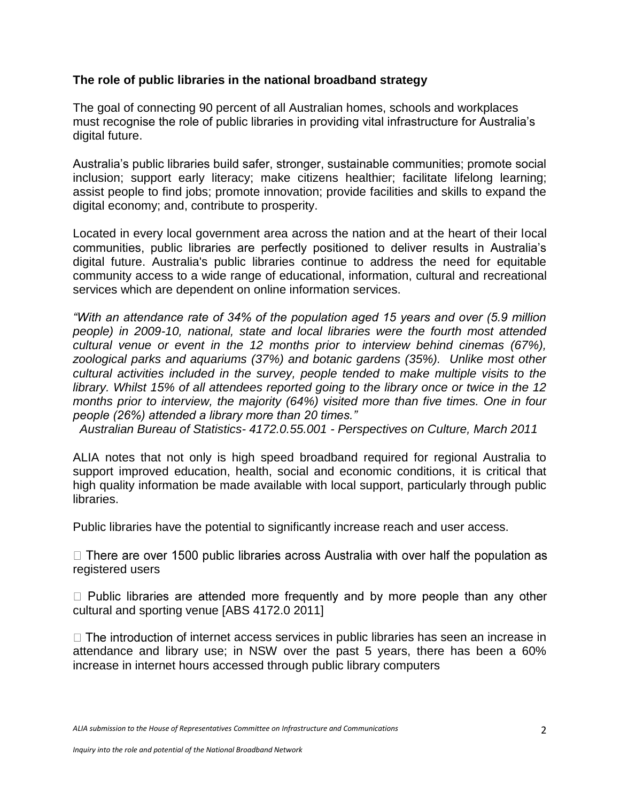### **The role of public libraries in the national broadband strategy**

The goal of connecting 90 percent of all Australian homes, schools and workplaces must recognise the role of public libraries in providing vital infrastructure for Australia"s digital future.

Australia"s public libraries build safer, stronger, sustainable communities; promote social inclusion; support early literacy; make citizens healthier; facilitate lifelong learning; assist people to find jobs; promote innovation; provide facilities and skills to expand the digital economy; and, contribute to prosperity.

Located in every local government area across the nation and at the heart of their local communities, public libraries are perfectly positioned to deliver results in Australia"s digital future. Australia's public libraries continue to address the need for equitable community access to a wide range of educational, information, cultural and recreational services which are dependent on online information services.

*"With an attendance rate of 34% of the population aged 15 years and over (5.9 million people) in 2009-10, national, state and local libraries were the fourth most attended cultural venue or event in the 12 months prior to interview behind cinemas (67%), zoological parks and aquariums (37%) and botanic gardens (35%). Unlike most other cultural activities included in the survey, people tended to make multiple visits to the library. Whilst 15% of all attendees reported going to the library once or twice in the 12 months prior to interview, the majority (64%) visited more than five times. One in four people (26%) attended a library more than 20 times."*

 *Australian Bureau of Statistics- 4172.0.55.001 - Perspectives on Culture, March 2011* 

ALIA notes that not only is high speed broadband required for regional Australia to support improved education, health, social and economic conditions, it is critical that high quality information be made available with local support, particularly through public libraries.

Public libraries have the potential to significantly increase reach and user access.

 $\Box$  There are over 1500 public libraries across Australia with over half the population as registered users

 $\Box$  Public libraries are attended more frequently and by more people than any other cultural and sporting venue [ABS 4172.0 2011]

 $\Box$  The introduction of internet access services in public libraries has seen an increase in attendance and library use; in NSW over the past 5 years, there has been a 60% increase in internet hours accessed through public library computers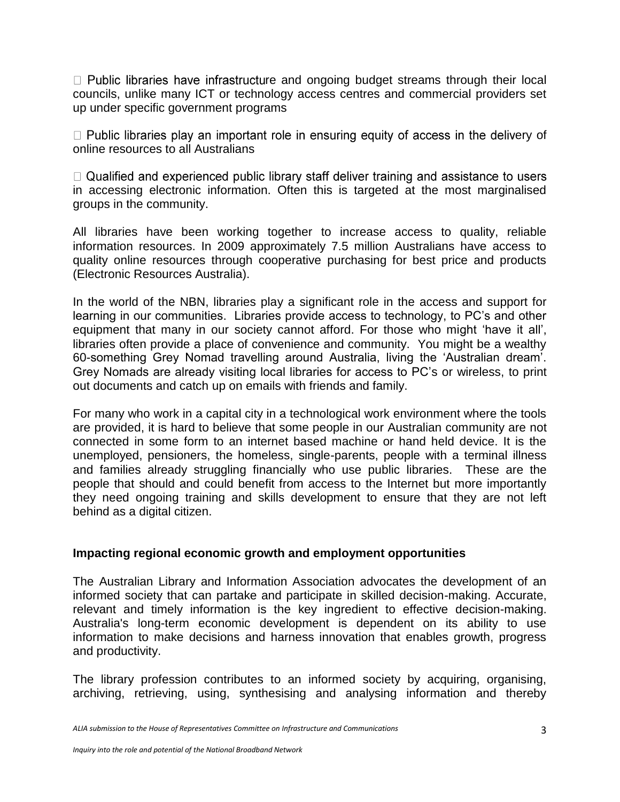$\Box$  Public libraries have infrastructure and ongoing budget streams through their local councils, unlike many ICT or technology access centres and commercial providers set up under specific government programs

 $\Box$  Public libraries play an important role in ensuring equity of access in the delivery of online resources to all Australians

 $\Box$  Qualified and experienced public library staff deliver training and assistance to users in accessing electronic information. Often this is targeted at the most marginalised groups in the community.

All libraries have been working together to increase access to quality, reliable information resources. In 2009 approximately 7.5 million Australians have access to quality online resources through cooperative purchasing for best price and products (Electronic Resources Australia).

In the world of the NBN, libraries play a significant role in the access and support for learning in our communities. Libraries provide access to technology, to PC"s and other equipment that many in our society cannot afford. For those who might 'have it all', libraries often provide a place of convenience and community. You might be a wealthy 60-something Grey Nomad travelling around Australia, living the "Australian dream". Grey Nomads are already visiting local libraries for access to PC"s or wireless, to print out documents and catch up on emails with friends and family.

For many who work in a capital city in a technological work environment where the tools are provided, it is hard to believe that some people in our Australian community are not connected in some form to an internet based machine or hand held device. It is the unemployed, pensioners, the homeless, single-parents, people with a terminal illness and families already struggling financially who use public libraries. These are the people that should and could benefit from access to the Internet but more importantly they need ongoing training and skills development to ensure that they are not left behind as a digital citizen.

### **Impacting regional economic growth and employment opportunities**

The Australian Library and Information Association advocates the development of an informed society that can partake and participate in skilled decision-making. Accurate, relevant and timely information is the key ingredient to effective decision-making. Australia's long-term economic development is dependent on its ability to use information to make decisions and harness innovation that enables growth, progress and productivity.

The library profession contributes to an informed society by acquiring, organising, archiving, retrieving, using, synthesising and analysing information and thereby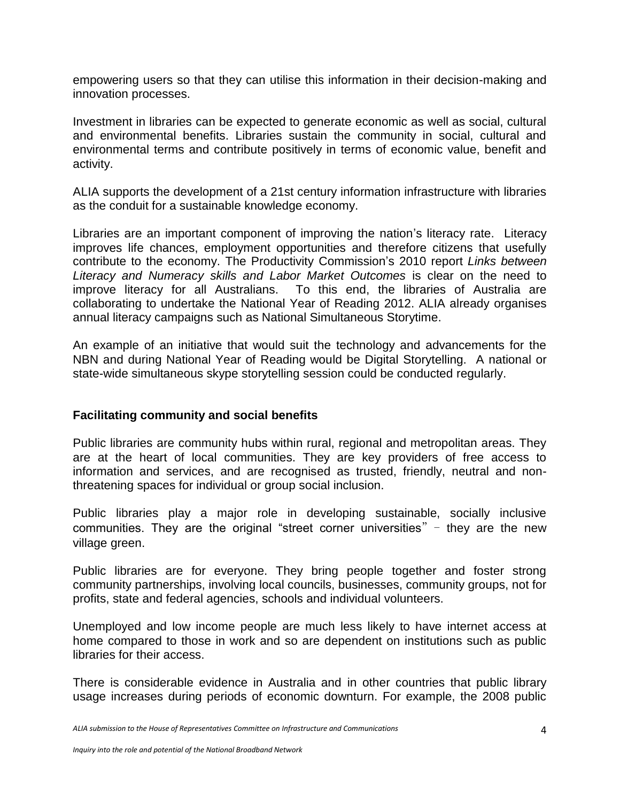empowering users so that they can utilise this information in their decision-making and innovation processes.

Investment in libraries can be expected to generate economic as well as social, cultural and environmental benefits. Libraries sustain the community in social, cultural and environmental terms and contribute positively in terms of economic value, benefit and activity.

ALIA supports the development of a 21st century information infrastructure with libraries as the conduit for a sustainable knowledge economy.

Libraries are an important component of improving the nation's literacy rate. Literacy improves life chances, employment opportunities and therefore citizens that usefully contribute to the economy. The Productivity Commission"s 2010 report *Links between Literacy and Numeracy skills and Labor Market Outcomes* is clear on the need to improve literacy for all Australians. To this end, the libraries of Australia are collaborating to undertake the National Year of Reading 2012. ALIA already organises annual literacy campaigns such as National Simultaneous Storytime.

An example of an initiative that would suit the technology and advancements for the NBN and during National Year of Reading would be Digital Storytelling. A national or state-wide simultaneous skype storytelling session could be conducted regularly.

### **Facilitating community and social benefits**

Public libraries are community hubs within rural, regional and metropolitan areas. They are at the heart of local communities. They are key providers of free access to information and services, and are recognised as trusted, friendly, neutral and nonthreatening spaces for individual or group social inclusion.

Public libraries play a major role in developing sustainable, socially inclusive communities. They are the original "street corner universities"  $-$  they are the new village green.

Public libraries are for everyone. They bring people together and foster strong community partnerships, involving local councils, businesses, community groups, not for profits, state and federal agencies, schools and individual volunteers.

Unemployed and low income people are much less likely to have internet access at home compared to those in work and so are dependent on institutions such as public libraries for their access.

There is considerable evidence in Australia and in other countries that public library usage increases during periods of economic downturn. For example, the 2008 public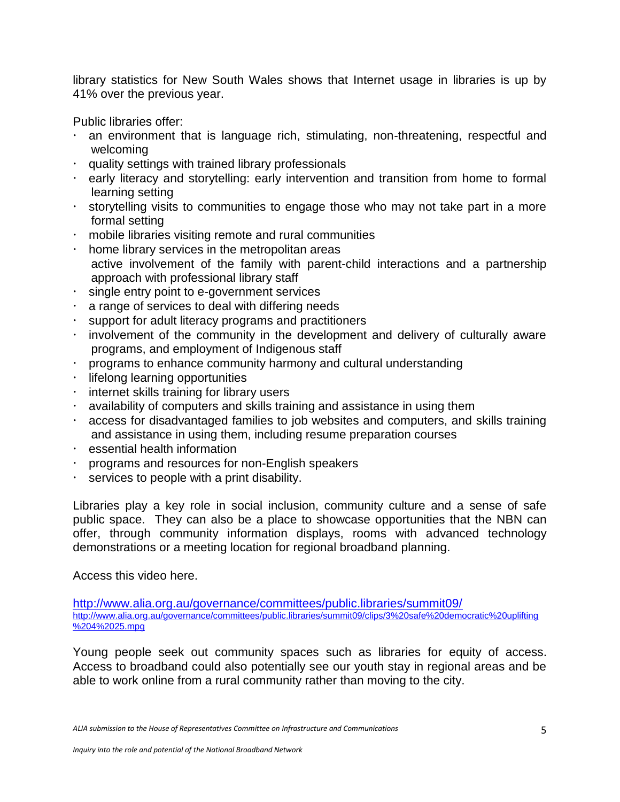library statistics for New South Wales shows that Internet usage in libraries is up by 41% over the previous year.

Public libraries offer:

- an environment that is language rich, stimulating, non-threatening, respectful and welcoming
- $\cdot$  quality settings with trained library professionals
- early literacy and storytelling: early intervention and transition from home to formal learning setting
- $\cdot$  storytelling visits to communities to engage those who may not take part in a more formal setting
- mobile libraries visiting remote and rural communities
- $\cdot$  home library services in the metropolitan areas active involvement of the family with parent-child interactions and a partnership approach with professional library staff
- $\cdot$  single entry point to e-government services
- a range of services to deal with differing needs
- support for adult literacy programs and practitioners
- $\cdot$  involvement of the community in the development and delivery of culturally aware programs, and employment of Indigenous staff
- programs to enhance community harmony and cultural understanding
- $\cdot$  lifelong learning opportunities
- $\cdot$  internet skills training for library users
- availability of computers and skills training and assistance in using them
- access for disadvantaged families to job websites and computers, and skills training and assistance in using them, including resume preparation courses
- $\cdot$  essential health information
- programs and resources for non-English speakers
- services to people with a print disability.

Libraries play a key role in social inclusion, community culture and a sense of safe public space. They can also be a place to showcase opportunities that the NBN can offer, through community information displays, rooms with advanced technology demonstrations or a meeting location for regional broadband planning.

Access this video here.

<http://www.alia.org.au/governance/committees/public.libraries/summit09/> [http://www.alia.org.au/governance/committees/public.libraries/summit09/clips/3%20safe%20democratic%20uplifting](http://www.alia.org.au/governance/committees/public.libraries/summit09/clips/3%20safe%20democratic%20uplifting%204%2025.mpg) [%204%2025.mpg](http://www.alia.org.au/governance/committees/public.libraries/summit09/clips/3%20safe%20democratic%20uplifting%204%2025.mpg)

Young people seek out community spaces such as libraries for equity of access. Access to broadband could also potentially see our youth stay in regional areas and be able to work online from a rural community rather than moving to the city.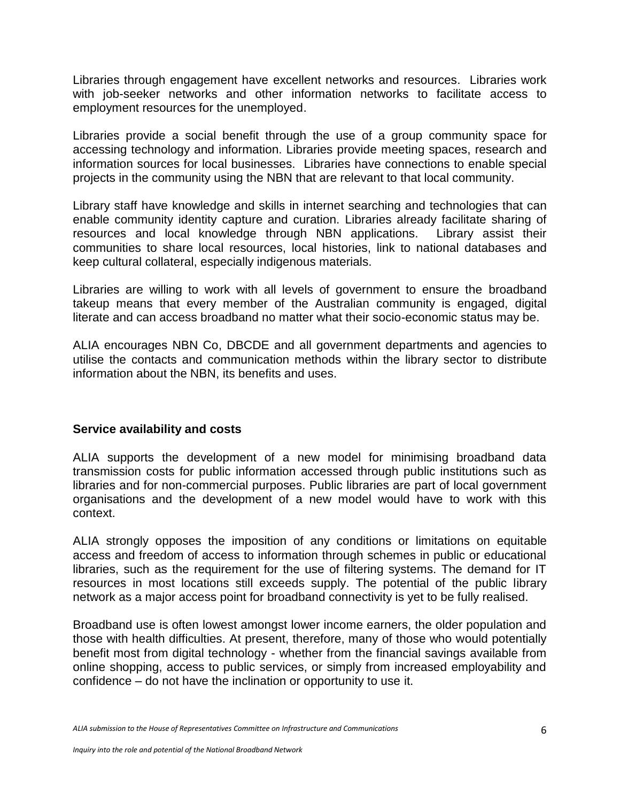Libraries through engagement have excellent networks and resources. Libraries work with job-seeker networks and other information networks to facilitate access to employment resources for the unemployed.

Libraries provide a social benefit through the use of a group community space for accessing technology and information. Libraries provide meeting spaces, research and information sources for local businesses. Libraries have connections to enable special projects in the community using the NBN that are relevant to that local community.

Library staff have knowledge and skills in internet searching and technologies that can enable community identity capture and curation. Libraries already facilitate sharing of resources and local knowledge through NBN applications. Library assist their communities to share local resources, local histories, link to national databases and keep cultural collateral, especially indigenous materials.

Libraries are willing to work with all levels of government to ensure the broadband takeup means that every member of the Australian community is engaged, digital literate and can access broadband no matter what their socio-economic status may be.

ALIA encourages NBN Co, DBCDE and all government departments and agencies to utilise the contacts and communication methods within the library sector to distribute information about the NBN, its benefits and uses.

### **Service availability and costs**

ALIA supports the development of a new model for minimising broadband data transmission costs for public information accessed through public institutions such as libraries and for non-commercial purposes. Public libraries are part of local government organisations and the development of a new model would have to work with this context.

ALIA strongly opposes the imposition of any conditions or limitations on equitable access and freedom of access to information through schemes in public or educational libraries, such as the requirement for the use of filtering systems. The demand for IT resources in most locations still exceeds supply. The potential of the public library network as a major access point for broadband connectivity is yet to be fully realised.

Broadband use is often lowest amongst lower income earners, the older population and those with health difficulties. At present, therefore, many of those who would potentially benefit most from digital technology - whether from the financial savings available from online shopping, access to public services, or simply from increased employability and confidence – do not have the inclination or opportunity to use it.

*ALIA submission to the House of Representatives Committee on Infrastructure and Communications*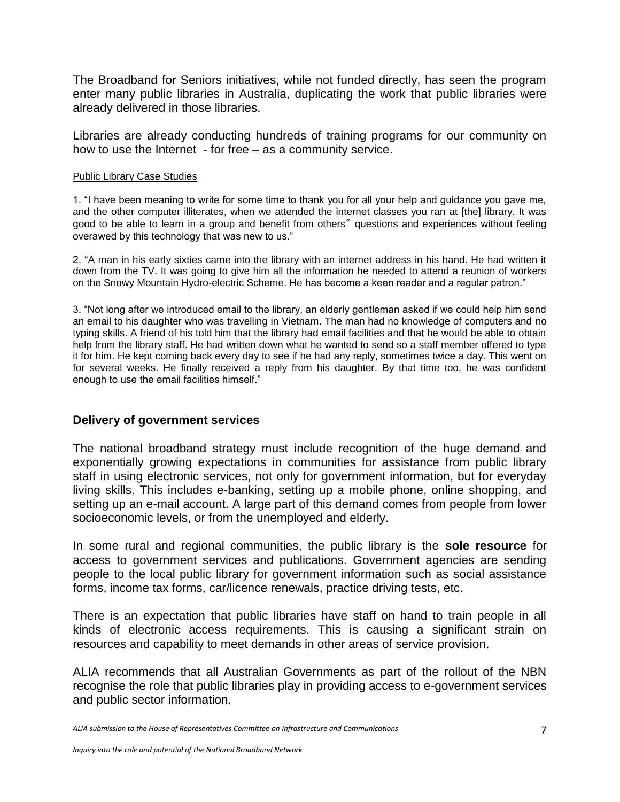The Broadband for Seniors initiatives, while not funded directly, has seen the program enter many public libraries in Australia, duplicating the work that public libraries were already delivered in those libraries.

Libraries are already conducting hundreds of training programs for our community on how to use the Internet - for free – as a community service.

#### Public Library Case Studies

1. "I have been meaning to write for some time to thank you for all your help and guidance you gave me, and the other computer illiterates, when we attended the internet classes you ran at [the] library. It was good to be able to learn in a group and benefit from others" questions and experiences without feeling overawed by this technology that was new to us."

2. "A man in his early sixties came into the library with an internet address in his hand. He had written it down from the TV. It was going to give him all the information he needed to attend a reunion of workers on the Snowy Mountain Hydro-electric Scheme. He has become a keen reader and a regular patron."

3. "Not long after we introduced email to the library, an elderly gentleman asked if we could help him send an email to his daughter who was travelling in Vietnam. The man had no knowledge of computers and no typing skills. A friend of his told him that the library had email facilities and that he would be able to obtain help from the library staff. He had written down what he wanted to send so a staff member offered to type it for him. He kept coming back every day to see if he had any reply, sometimes twice a day. This went on for several weeks. He finally received a reply from his daughter. By that time too, he was confident enough to use the email facilities himself."

### **Delivery of government services**

The national broadband strategy must include recognition of the huge demand and exponentially growing expectations in communities for assistance from public library staff in using electronic services, not only for government information, but for everyday living skills. This includes e-banking, setting up a mobile phone, online shopping, and setting up an e-mail account. A large part of this demand comes from people from lower socioeconomic levels, or from the unemployed and elderly.

In some rural and regional communities, the public library is the **sole resource** for access to government services and publications. Government agencies are sending people to the local public library for government information such as social assistance forms, income tax forms, car/licence renewals, practice driving tests, etc.

There is an expectation that public libraries have staff on hand to train people in all kinds of electronic access requirements. This is causing a significant strain on resources and capability to meet demands in other areas of service provision.

ALIA recommends that all Australian Governments as part of the rollout of the NBN recognise the role that public libraries play in providing access to e-government services and public sector information.

*ALIA submission to the House of Representatives Committee on Infrastructure and Communications*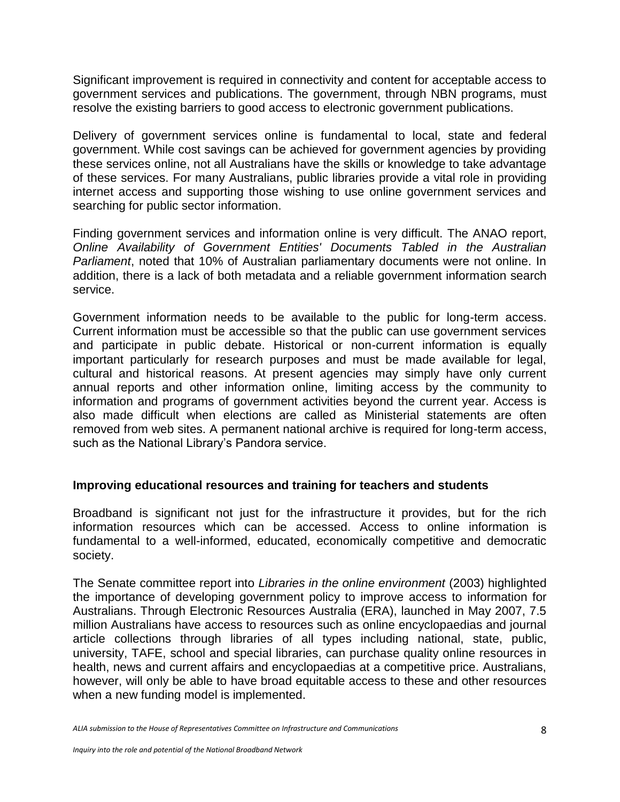Significant improvement is required in connectivity and content for acceptable access to government services and publications. The government, through NBN programs, must resolve the existing barriers to good access to electronic government publications.

Delivery of government services online is fundamental to local, state and federal government. While cost savings can be achieved for government agencies by providing these services online, not all Australians have the skills or knowledge to take advantage of these services. For many Australians, public libraries provide a vital role in providing internet access and supporting those wishing to use online government services and searching for public sector information.

Finding government services and information online is very difficult. The ANAO report, *Online Availability of Government Entities' Documents Tabled in the Australian Parliament*, noted that 10% of Australian parliamentary documents were not online. In addition, there is a lack of both metadata and a reliable government information search service.

Government information needs to be available to the public for long-term access. Current information must be accessible so that the public can use government services and participate in public debate. Historical or non-current information is equally important particularly for research purposes and must be made available for legal, cultural and historical reasons. At present agencies may simply have only current annual reports and other information online, limiting access by the community to information and programs of government activities beyond the current year. Access is also made difficult when elections are called as Ministerial statements are often removed from web sites. A permanent national archive is required for long-term access, such as the National Library's Pandora service.

### **Improving educational resources and training for teachers and students**

Broadband is significant not just for the infrastructure it provides, but for the rich information resources which can be accessed. Access to online information is fundamental to a well-informed, educated, economically competitive and democratic society.

The Senate committee report into *Libraries in the online environment* (2003) highlighted the importance of developing government policy to improve access to information for Australians. Through Electronic Resources Australia (ERA), launched in May 2007, 7.5 million Australians have access to resources such as online encyclopaedias and journal article collections through libraries of all types including national, state, public, university, TAFE, school and special libraries, can purchase quality online resources in health, news and current affairs and encyclopaedias at a competitive price. Australians, however, will only be able to have broad equitable access to these and other resources when a new funding model is implemented.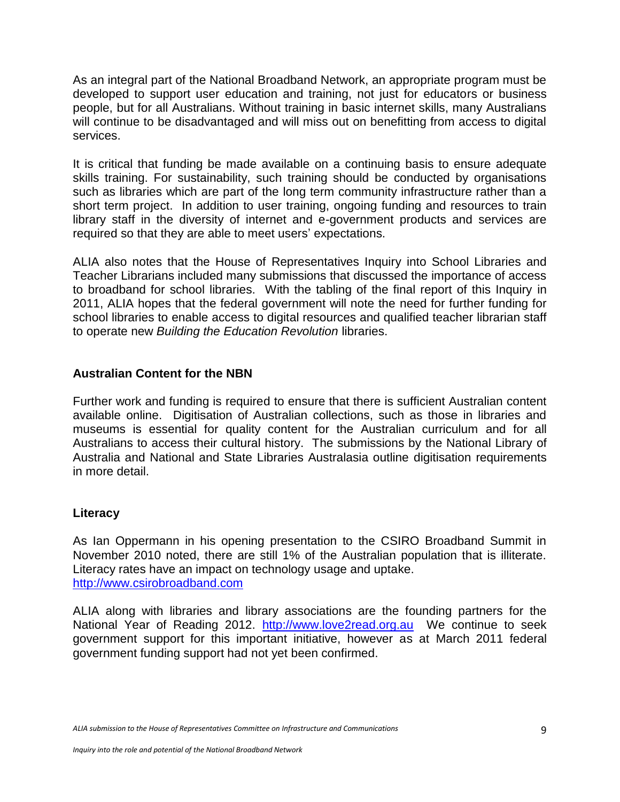As an integral part of the National Broadband Network, an appropriate program must be developed to support user education and training, not just for educators or business people, but for all Australians. Without training in basic internet skills, many Australians will continue to be disadvantaged and will miss out on benefitting from access to digital services.

It is critical that funding be made available on a continuing basis to ensure adequate skills training. For sustainability, such training should be conducted by organisations such as libraries which are part of the long term community infrastructure rather than a short term project. In addition to user training, ongoing funding and resources to train library staff in the diversity of internet and e-government products and services are required so that they are able to meet users' expectations.

ALIA also notes that the House of Representatives Inquiry into School Libraries and Teacher Librarians included many submissions that discussed the importance of access to broadband for school libraries. With the tabling of the final report of this Inquiry in 2011, ALIA hopes that the federal government will note the need for further funding for school libraries to enable access to digital resources and qualified teacher librarian staff to operate new *Building the Education Revolution* libraries.

# **Australian Content for the NBN**

Further work and funding is required to ensure that there is sufficient Australian content available online. Digitisation of Australian collections, such as those in libraries and museums is essential for quality content for the Australian curriculum and for all Australians to access their cultural history. The submissions by the National Library of Australia and National and State Libraries Australasia outline digitisation requirements in more detail.

# **Literacy**

As Ian Oppermann in his opening presentation to the CSIRO Broadband Summit in November 2010 noted, there are still 1% of the Australian population that is illiterate. Literacy rates have an impact on technology usage and uptake. [http://www.csirobroadband.com](http://www.csirobroadband.com/)

ALIA along with libraries and library associations are the founding partners for the National Year of Reading 2012. [http://www.love2read.org.au](http://www.love2read.org.au/) We continue to seek government support for this important initiative, however as at March 2011 federal government funding support had not yet been confirmed.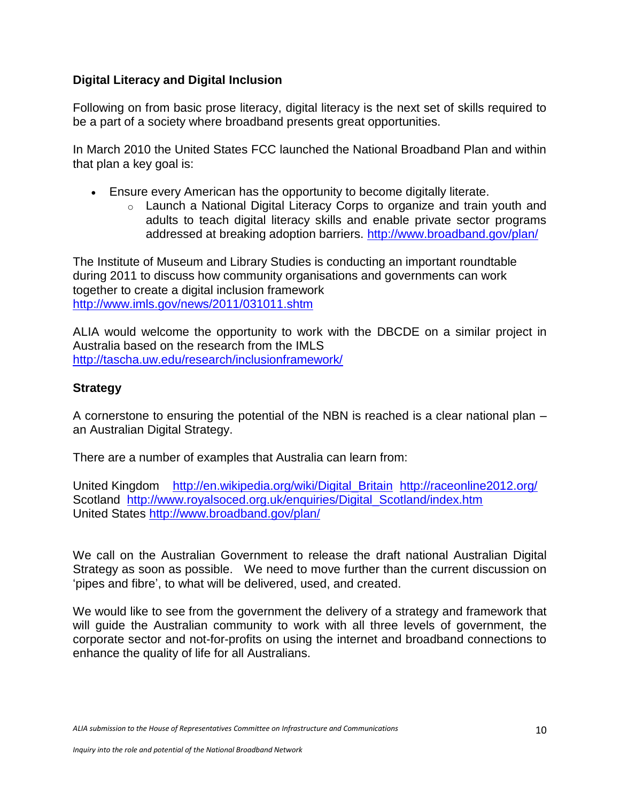### **Digital Literacy and Digital Inclusion**

Following on from basic prose literacy, digital literacy is the next set of skills required to be a part of a society where broadband presents great opportunities.

In March 2010 the United States FCC launched the National Broadband Plan and within that plan a key goal is:

- Ensure every American has the opportunity to become digitally literate.
	- o Launch a National Digital Literacy Corps to organize and train youth and adults to teach digital literacy skills and enable private sector programs addressed at breaking adoption barriers.<http://www.broadband.gov/plan/>

The Institute of Museum and Library Studies is conducting an important roundtable during 2011 to discuss how community organisations and governments can work together to create a digital inclusion framework <http://www.imls.gov/news/2011/031011.shtm>

ALIA would welcome the opportunity to work with the DBCDE on a similar project in Australia based on the research from the IMLS <http://tascha.uw.edu/research/inclusionframework/>

# **Strategy**

A cornerstone to ensuring the potential of the NBN is reached is a clear national plan – an Australian Digital Strategy.

There are a number of examples that Australia can learn from:

United Kingdom [http://en.wikipedia.org/wiki/Digital\\_Britain](http://en.wikipedia.org/wiki/Digital_Britain) <http://raceonline2012.org/> Scotland http://www.royalsoced.org.uk/enquiries/Digital Scotland/index.htm United States <http://www.broadband.gov/plan/>

We call on the Australian Government to release the draft national Australian Digital Strategy as soon as possible. We need to move further than the current discussion on "pipes and fibre", to what will be delivered, used, and created.

We would like to see from the government the delivery of a strategy and framework that will guide the Australian community to work with all three levels of government, the corporate sector and not-for-profits on using the internet and broadband connections to enhance the quality of life for all Australians.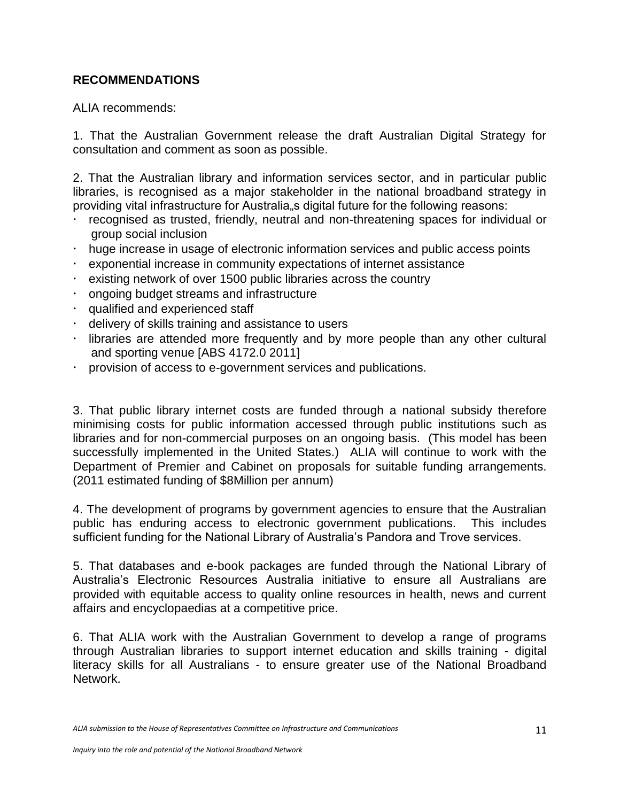# **RECOMMENDATIONS**

ALIA recommends:

1. That the Australian Government release the draft Australian Digital Strategy for consultation and comment as soon as possible.

2. That the Australian library and information services sector, and in particular public libraries, is recognised as a major stakeholder in the national broadband strategy in providing vital infrastructure for Australia, a digital future for the following reasons:

- recognised as trusted, friendly, neutral and non-threatening spaces for individual or group social inclusion
- huge increase in usage of electronic information services and public access points
- exponential increase in community expectations of internet assistance
- existing network of over 1500 public libraries across the country
- ongoing budget streams and infrastructure
- qualified and experienced staff
- delivery of skills training and assistance to users
- libraries are attended more frequently and by more people than any other cultural and sporting venue [ABS 4172.0 2011]
- provision of access to e-government services and publications.

3. That public library internet costs are funded through a national subsidy therefore minimising costs for public information accessed through public institutions such as libraries and for non-commercial purposes on an ongoing basis. (This model has been successfully implemented in the United States.) ALIA will continue to work with the Department of Premier and Cabinet on proposals for suitable funding arrangements. (2011 estimated funding of \$8Million per annum)

4. The development of programs by government agencies to ensure that the Australian public has enduring access to electronic government publications. This includes sufficient funding for the National Library of Australia's Pandora and Trove services.

5. That databases and e-book packages are funded through the National Library of Australia"s Electronic Resources Australia initiative to ensure all Australians are provided with equitable access to quality online resources in health, news and current affairs and encyclopaedias at a competitive price.

6. That ALIA work with the Australian Government to develop a range of programs through Australian libraries to support internet education and skills training - digital literacy skills for all Australians - to ensure greater use of the National Broadband Network.

*ALIA submission to the House of Representatives Committee on Infrastructure and Communications*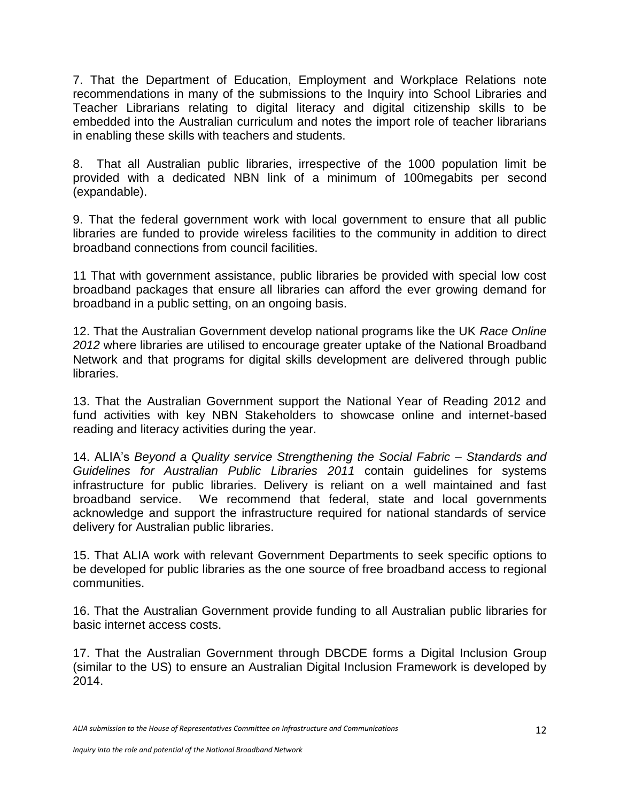7. That the Department of Education, Employment and Workplace Relations note recommendations in many of the submissions to the Inquiry into School Libraries and Teacher Librarians relating to digital literacy and digital citizenship skills to be embedded into the Australian curriculum and notes the import role of teacher librarians in enabling these skills with teachers and students.

8. That all Australian public libraries, irrespective of the 1000 population limit be provided with a dedicated NBN link of a minimum of 100megabits per second (expandable).

9. That the federal government work with local government to ensure that all public libraries are funded to provide wireless facilities to the community in addition to direct broadband connections from council facilities.

11 That with government assistance, public libraries be provided with special low cost broadband packages that ensure all libraries can afford the ever growing demand for broadband in a public setting, on an ongoing basis.

12. That the Australian Government develop national programs like the UK *Race Online 2012* where libraries are utilised to encourage greater uptake of the National Broadband Network and that programs for digital skills development are delivered through public libraries.

13. That the Australian Government support the National Year of Reading 2012 and fund activities with key NBN Stakeholders to showcase online and internet-based reading and literacy activities during the year.

14. ALIA"s *Beyond a Quality service Strengthening the Social Fabric – Standards and Guidelines for Australian Public Libraries 2011* contain guidelines for systems infrastructure for public libraries. Delivery is reliant on a well maintained and fast broadband service. We recommend that federal, state and local governments acknowledge and support the infrastructure required for national standards of service delivery for Australian public libraries.

15. That ALIA work with relevant Government Departments to seek specific options to be developed for public libraries as the one source of free broadband access to regional communities.

16. That the Australian Government provide funding to all Australian public libraries for basic internet access costs.

17. That the Australian Government through DBCDE forms a Digital Inclusion Group (similar to the US) to ensure an Australian Digital Inclusion Framework is developed by 2014.

*ALIA submission to the House of Representatives Committee on Infrastructure and Communications*